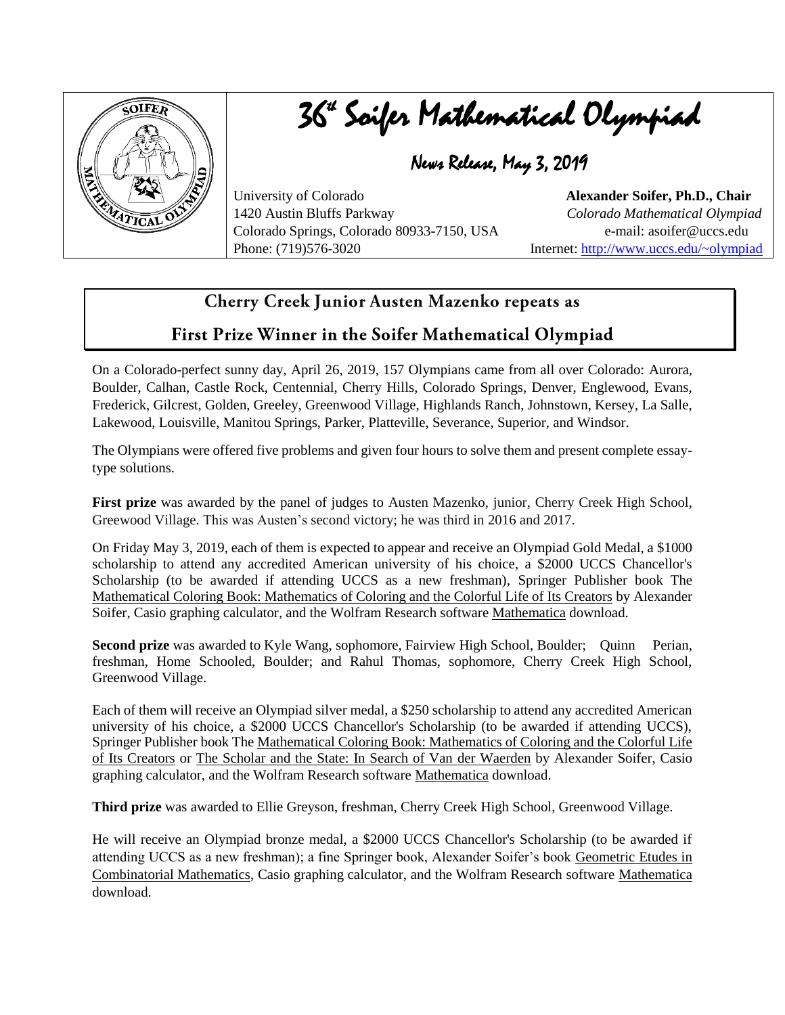

## 36ª Soifer Mathematical Olympiad

News Release, May 3, 2019

University of Colorado **Alexander Soifer, Ph.D., Chair**  1420 Austin Bluffs Parkway *Colorado Mathematical Olympiad*  Colorado Springs, Colorado 80933-7150, USA e-mail: asoifer@uccs.edu Phone: (719)576-3020 Internet:<http://www.uccs.edu/~olympiad>

## Cherry Creek Junior Austen Mazenko repeats as

## First Prize Winner in the Soifer Mathematical Olympiad

On a Colorado-perfect sunny day, April 26, 2019, 157 Olympians came from all over Colorado: Aurora, Boulder, Calhan, Castle Rock, Centennial, Cherry Hills, Colorado Springs, Denver, Englewood, Evans, Frederick, Gilcrest, Golden, Greeley, Greenwood Village, Highlands Ranch, Johnstown, Kersey, La Salle, Lakewood, Louisville, Manitou Springs, Parker, Platteville, Severance, Superior, and Windsor.

The Olympians were offered five problems and given four hours to solve them and present complete essaytype solutions.

**First prize** was awarded by the panel of judges to Austen Mazenko, junior, Cherry Creek High School, Greewood Village. This was Austen's second victory; he was third in 2016 and 2017.

On Friday May 3, 2019, each of them is expected to appear and receive an Olympiad Gold Medal, a \$1000 scholarship to attend any accredited American university of his choice, a \$2000 UCCS Chancellor's Scholarship (to be awarded if attending UCCS as a new freshman), Springer Publisher book The Mathematical Coloring Book: Mathematics of Coloring and the Colorful Life of Its Creators by Alexander Soifer, Casio graphing calculator, and the Wolfram Research software Mathematica download.

**Second prize** was awarded to Kyle Wang, sophomore, Fairview High School, Boulder; Quinn Perian, freshman, Home Schooled, Boulder; and Rahul Thomas, sophomore, Cherry Creek High School, Greenwood Village.

Each of them will receive an Olympiad silver medal, a \$250 scholarship to attend any accredited American university of his choice, a \$2000 UCCS Chancellor's Scholarship (to be awarded if attending UCCS), Springer Publisher book The Mathematical Coloring Book: Mathematics of Coloring and the Colorful Life of Its Creators or The Scholar and the State: In Search of Van der Waerden by Alexander Soifer, Casio graphing calculator, and the Wolfram Research software Mathematica download.

**Third prize** was awarded to Ellie Greyson, freshman, Cherry Creek High School, Greenwood Village.

He will receive an Olympiad bronze medal, a \$2000 UCCS Chancellor's Scholarship (to be awarded if attending UCCS as a new freshman); a fine Springer book, Alexander Soifer's book Geometric Etudes in Combinatorial Mathematics, Casio graphing calculator, and the Wolfram Research software Mathematica download.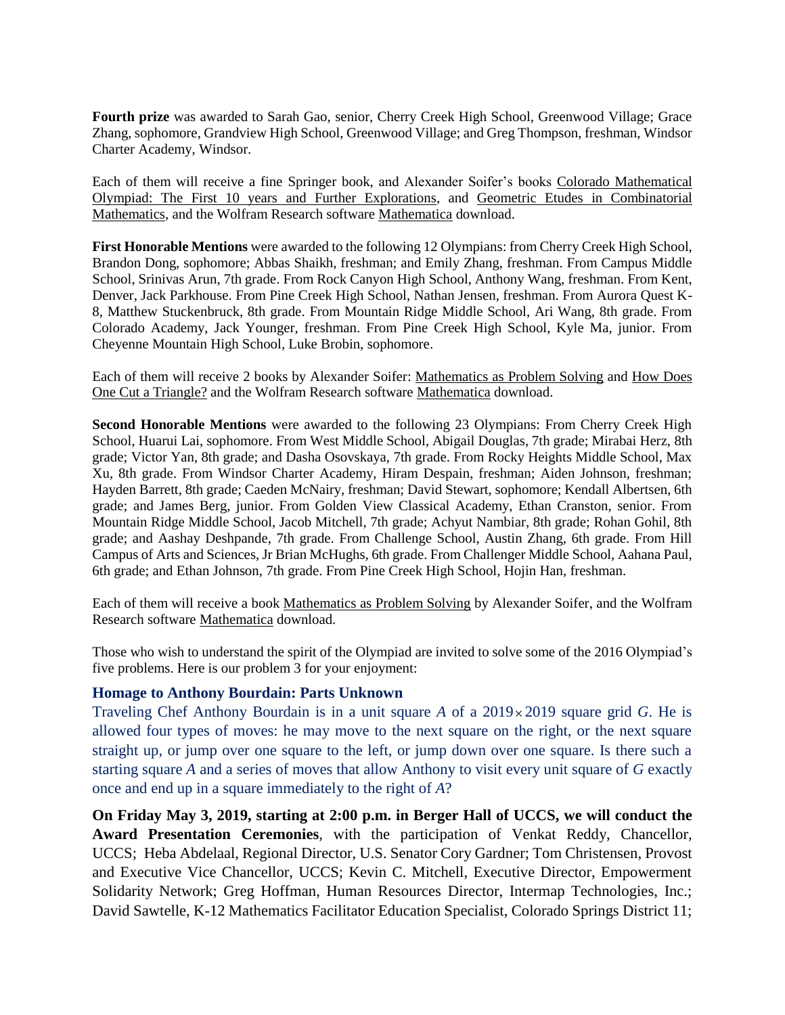**Fourth prize** was awarded to Sarah Gao, senior, Cherry Creek High School, Greenwood Village; Grace Zhang, sophomore, Grandview High School, Greenwood Village; and Greg Thompson, freshman, Windsor Charter Academy, Windsor.

Each of them will receive a fine Springer book, and Alexander Soifer's books Colorado Mathematical Olympiad: The First 10 years and Further Explorations, and Geometric Etudes in Combinatorial Mathematics, and the Wolfram Research software Mathematica download.

**First Honorable Mentions** were awarded to the following 12 Olympians: from Cherry Creek High School, Brandon Dong, sophomore; Abbas Shaikh, freshman; and Emily Zhang, freshman. From Campus Middle School, Srinivas Arun, 7th grade. From Rock Canyon High School, Anthony Wang, freshman. From Kent, Denver, Jack Parkhouse. From Pine Creek High School, Nathan Jensen, freshman. From Aurora Quest K-8, Matthew Stuckenbruck, 8th grade. From Mountain Ridge Middle School, Ari Wang, 8th grade. From Colorado Academy, Jack Younger, freshman. From Pine Creek High School, Kyle Ma, junior. From Cheyenne Mountain High School, Luke Brobin, sophomore.

Each of them will receive 2 books by Alexander Soifer: Mathematics as Problem Solving and How Does One Cut a Triangle? and the Wolfram Research software Mathematica download.

**Second Honorable Mentions** were awarded to the following 23 Olympians: From Cherry Creek High School, Huarui Lai, sophomore. From West Middle School, Abigail Douglas, 7th grade; Mirabai Herz, 8th grade; Victor Yan, 8th grade; and Dasha Osovskaya, 7th grade. From Rocky Heights Middle School, Max Xu, 8th grade. From Windsor Charter Academy, Hiram Despain, freshman; Aiden Johnson, freshman; Hayden Barrett, 8th grade; Caeden McNairy, freshman; David Stewart, sophomore; Kendall Albertsen, 6th grade; and James Berg, junior. From Golden View Classical Academy, Ethan Cranston, senior. From Mountain Ridge Middle School, Jacob Mitchell, 7th grade; Achyut Nambiar, 8th grade; Rohan Gohil, 8th grade; and Aashay Deshpande, 7th grade. From Challenge School, Austin Zhang, 6th grade. From Hill Campus of Arts and Sciences, Jr Brian McHughs, 6th grade. From Challenger Middle School, Aahana Paul, 6th grade; and Ethan Johnson, 7th grade. From Pine Creek High School, Hojin Han, freshman.

Each of them will receive a book Mathematics as Problem Solving by Alexander Soifer, and the Wolfram Research software Mathematica download.

Those who wish to understand the spirit of the Olympiad are invited to solve some of the 2016 Olympiad's five problems. Here is our problem 3 for your enjoyment:

## **Homage to Anthony Bourdain: Parts Unknown**

Traveling Chef Anthony Bourdain is in a unit square *A* of a 2019 2019 square grid *G*. He is allowed four types of moves: he may move to the next square on the right, or the next square straight up, or jump over one square to the left, or jump down over one square. Is there such a starting square *A* and a series of moves that allow Anthony to visit every unit square of *G* exactly once and end up in a square immediately to the right of *A*?

**On Friday May 3, 2019, starting at 2:00 p.m. in Berger Hall of UCCS, we will conduct the Award Presentation Ceremonies**, with the participation of Venkat Reddy, Chancellor, UCCS; Heba Abdelaal, Regional Director, U.S. Senator Cory Gardner; Tom Christensen, Provost and Executive Vice Chancellor, UCCS; Kevin C. Mitchell, Executive Director, Empowerment Solidarity Network; Greg Hoffman, Human Resources Director, Intermap Technologies, Inc.; David Sawtelle, K-12 Mathematics Facilitator Education Specialist, Colorado Springs District 11;